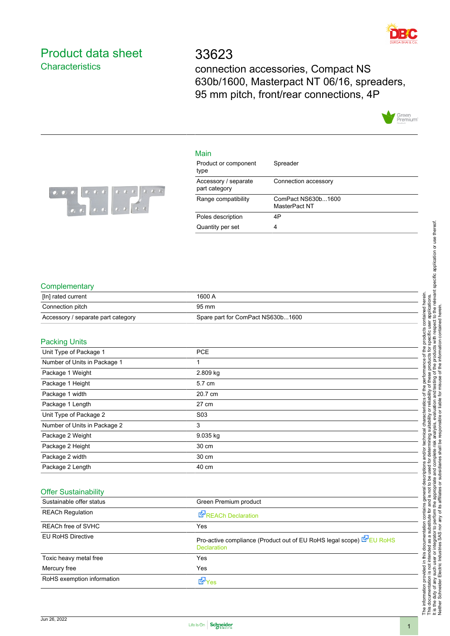

### <span id="page-0-0"></span>Product data sheet **Characteristics**

## 33623

connection accessories, Compact NS 630b/1600, Masterpact NT 06/16, spreaders, 95 mm pitch, front/rear connections, 4P



#### Main

| Product or component<br>type          | Spreader                            |
|---------------------------------------|-------------------------------------|
| Accessory / separate<br>part category | Connection accessory                |
| Range compatibility                   | ComPact NS630b1600<br>MasterPact NT |
| Poles description                     | 4P                                  |
| Quantity per set                      |                                     |



#### **Complementary**

| [In] rated current                 | 1600 A                            |
|------------------------------------|-----------------------------------|
| Connection pitch                   | 95 mm                             |
| Accessory / separate part category | Spare part for ComPact NS630b1600 |
|                                    |                                   |

#### Packing Units

| 1.991119011100               |                  |  |
|------------------------------|------------------|--|
| Unit Type of Package 1       | <b>PCE</b>       |  |
| Number of Units in Package 1 | 4                |  |
| Package 1 Weight             | 2.809 kg         |  |
| Package 1 Height             | 5.7 cm           |  |
| Package 1 width              | 20.7 cm          |  |
| Package 1 Length             | 27 cm            |  |
| Unit Type of Package 2       | S <sub>0</sub> 3 |  |
| Number of Units in Package 2 | 3                |  |
| Package 2 Weight             | 9.035 kg         |  |
| Package 2 Height             | 30 cm            |  |
| Package 2 width              | 30 cm            |  |
| Package 2 Length             | 40 cm            |  |

#### Offer Sustainability

| Sustainable offer status   | Green Premium product                                                                      |
|----------------------------|--------------------------------------------------------------------------------------------|
| <b>REACh Regulation</b>    | REACh Declaration                                                                          |
| <b>REACh free of SVHC</b>  | Yes                                                                                        |
| <b>EU RoHS Directive</b>   | Pro-active compliance (Product out of EU RoHS legal scope) E EU RoHS<br><b>Declaration</b> |
| Toxic heavy metal free     | Yes                                                                                        |
| Mercury free               | Yes                                                                                        |
| RoHS exemption information | LY Yes                                                                                     |